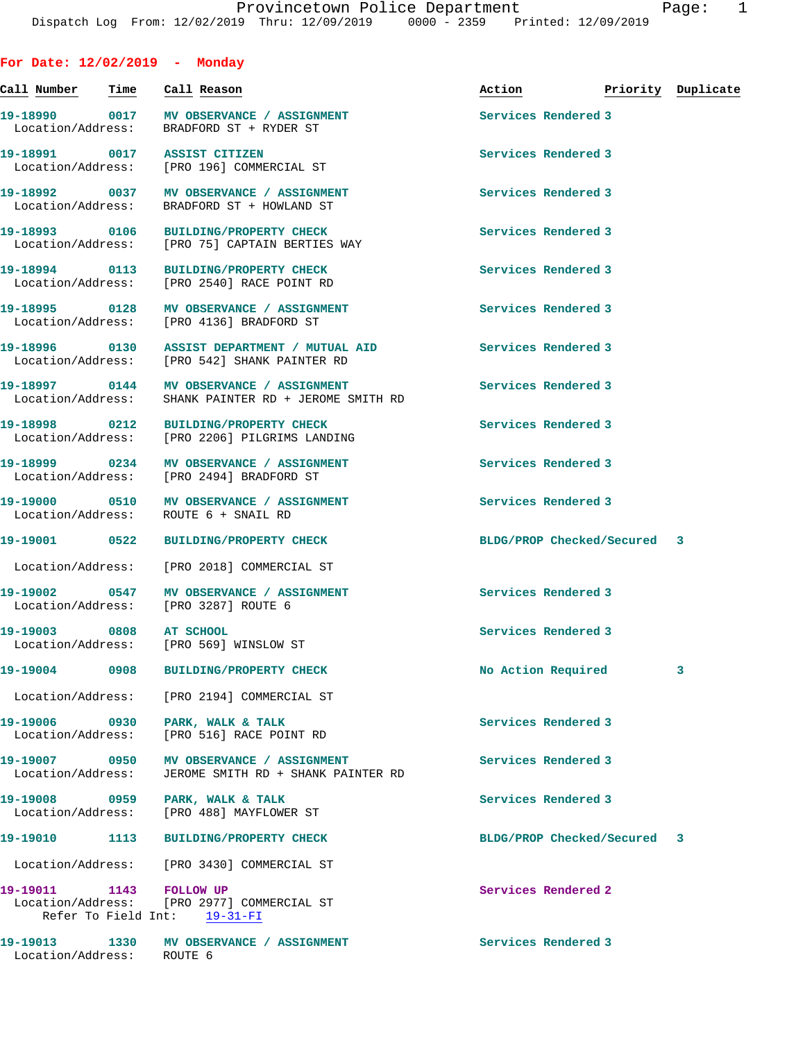| ◡ | ٠ |  |
|---|---|--|

| For Date: $12/02/2019$ - Monday         |      |                                                                                                  |                                  |   |
|-----------------------------------------|------|--------------------------------------------------------------------------------------------------|----------------------------------|---|
| <u>Call Number — Time — Call Reason</u> |      |                                                                                                  | Action <b>Priority</b> Duplicate |   |
|                                         |      | 19-18990 0017 MV OBSERVANCE / ASSIGNMENT<br>Location/Address: BRADFORD ST + RYDER ST             | Services Rendered 3              |   |
|                                         |      | 19-18991 0017 ASSIST CITIZEN<br>Location/Address: [PRO 196] COMMERCIAL ST                        | Services Rendered 3              |   |
|                                         |      | 19-18992 0037 MV OBSERVANCE / ASSIGNMENT<br>Location/Address: BRADFORD ST + HOWLAND ST           | Services Rendered 3              |   |
|                                         |      | 19-18993 0106 BUILDING/PROPERTY CHECK<br>Location/Address: [PRO 75] CAPTAIN BERTIES WAY          | Services Rendered 3              |   |
|                                         |      | 19-18994 0113 BUILDING/PROPERTY CHECK<br>Location/Address: [PRO 2540] RACE POINT RD              | Services Rendered 3              |   |
| Location/Address:                       |      | 19-18995 0128 MV OBSERVANCE / ASSIGNMENT<br>[PRO 4136] BRADFORD ST                               | Services Rendered 3              |   |
|                                         |      | Location/Address: [PRO 542] SHANK PAINTER RD                                                     | <b>Services Rendered 3</b>       |   |
|                                         |      | 19-18997 0144 MV OBSERVANCE / ASSIGNMENT<br>Location/Address: SHANK PAINTER RD + JEROME SMITH RD | Services Rendered 3              |   |
|                                         |      | 19-18998 0212 BUILDING/PROPERTY CHECK<br>Location/Address: [PRO 2206] PILGRIMS LANDING           | Services Rendered 3              |   |
|                                         |      | 19-18999 0234 MV OBSERVANCE / ASSIGNMENT<br>Location/Address: [PRO 2494] BRADFORD ST             | Services Rendered 3              |   |
|                                         |      | 19-19000 0510 MV OBSERVANCE / ASSIGNMENT<br>Location/Address: ROUTE 6 + SNAIL RD                 | Services Rendered 3              |   |
|                                         |      |                                                                                                  | BLDG/PROP Checked/Secured 3      |   |
|                                         |      | Location/Address: [PRO 2018] COMMERCIAL ST                                                       |                                  |   |
|                                         |      | 19-19002 0547 MV OBSERVANCE / ASSIGNMENT<br>Location/Address: [PRO 3287] ROUTE 6                 | Services Rendered 3              |   |
| 19-19003 0808<br>Location/Address:      |      | AT SCHOOL<br>[PRO 569] WINSLOW ST                                                                | Services Rendered 3              |   |
|                                         |      | 19-19004 0908 BUILDING/PROPERTY CHECK                                                            | No Action Required               | 3 |
| Location/Address:                       |      | [PRO 2194] COMMERCIAL ST                                                                         |                                  |   |
| 19-19006 0930<br>Location/Address:      |      | PARK, WALK & TALK<br>[PRO 516] RACE POINT RD                                                     | Services Rendered 3              |   |
| 19-19007 0950<br>Location/Address:      |      | MV OBSERVANCE / ASSIGNMENT<br>JEROME SMITH RD + SHANK PAINTER RD                                 | Services Rendered 3              |   |
| 19-19008 0959<br>Location/Address:      |      | PARK, WALK & TALK<br>[PRO 488] MAYFLOWER ST                                                      | Services Rendered 3              |   |
| 19-19010                                | 1113 | <b>BUILDING/PROPERTY CHECK</b>                                                                   | BLDG/PROP Checked/Secured 3      |   |
| Location/Address:                       |      | [PRO 3430] COMMERCIAL ST                                                                         |                                  |   |
| 19-19011 1143 FOLLOW UP                 |      | Location/Address: [PRO 2977] COMMERCIAL ST                                                       | Services Rendered 2              |   |

Refer To Field Int: 19-31-FI 19-19013 1330 MV OBSERVANCE / ASSIGNMENT **Services Rendered 3** 

Location/Address: ROUTE 6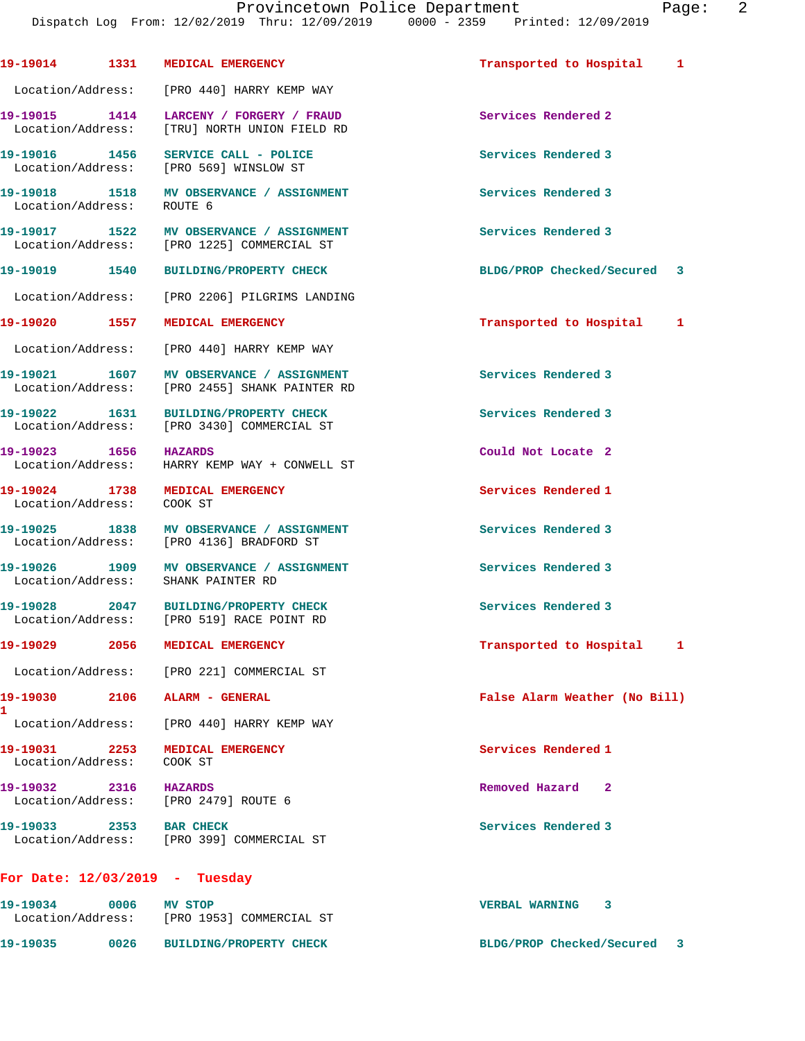**19-19014 1331 MEDICAL EMERGENCY Transported to Hospital 1** Location/Address: [PRO 440] HARRY KEMP WAY **19-19015 1414 LARCENY / FORGERY / FRAUD Services Rendered 2**  Location/Address: [TRU] NORTH UNION FIELD RD **19-19016 1456 SERVICE CALL - POLICE Services Rendered 3**  Location/Address: [PRO 569] WINSLOW ST **19-19018 1518 MV OBSERVANCE / ASSIGNMENT Services Rendered 3**  Location/Address: ROUTE 6 **19-19017 1522 MV OBSERVANCE / ASSIGNMENT Services Rendered 3**  Location/Address: [PRO 1225] COMMERCIAL ST **19-19019 1540 BUILDING/PROPERTY CHECK BLDG/PROP Checked/Secured 3** Location/Address: [PRO 2206] PILGRIMS LANDING **19-19020 1557 MEDICAL EMERGENCY Transported to Hospital 1** Location/Address: [PRO 440] HARRY KEMP WAY 19-19021 1607 MV OBSERVANCE / ASSIGNMENT **Services Rendered 3**  Location/Address: [PRO 2455] SHANK PAINTER RD **19-19022 1631 BUILDING/PROPERTY CHECK Services Rendered 3**  Location/Address: [PRO 3430] COMMERCIAL ST **19-19023 1656 HAZARDS Could Not Locate 2**  Location/Address: HARRY KEMP WAY + CONWELL ST **19-19024 1738 MEDICAL EMERGENCY Services Rendered 1**  Location/Address: COOK ST **19-19025 1838 MV OBSERVANCE / ASSIGNMENT Services Rendered 3**  Location/Address: [PRO 4136] BRADFORD ST **19-19026 1909 MV OBSERVANCE / ASSIGNMENT Services Rendered 3**  Location/Address: SHANK PAINTER RD **19-19028 2047 BUILDING/PROPERTY CHECK Services Rendered 3**  Location/Address: [PRO 519] RACE POINT RD **19-19029 2056 MEDICAL EMERGENCY Transported to Hospital 1** Location/Address: [PRO 221] COMMERCIAL ST **19-19030 2106 ALARM - GENERAL False Alarm Weather (No Bill)** Location/Address: [PRO 440] HARRY KEMP WAY **19-19031 2253 MEDICAL EMERGENCY Services Rendered 1**  Location/Address: COOK ST **19-19032 2316 HAZARDS Removed Hazard 2**  Location/Address: [PRO 2479] ROUTE 6 **19-19033 2353 BAR CHECK Services Rendered 3**  Location/Address: [PRO 399] COMMERCIAL ST **For Date: 12/03/2019 - Tuesday 19-19034 0006 MV STOP VERBAL WARNING 3**  Location/Address: [PRO 1953] COMMERCIAL ST

**1** 

**19-19035 0026 BUILDING/PROPERTY CHECK BLDG/PROP Checked/Secured 3**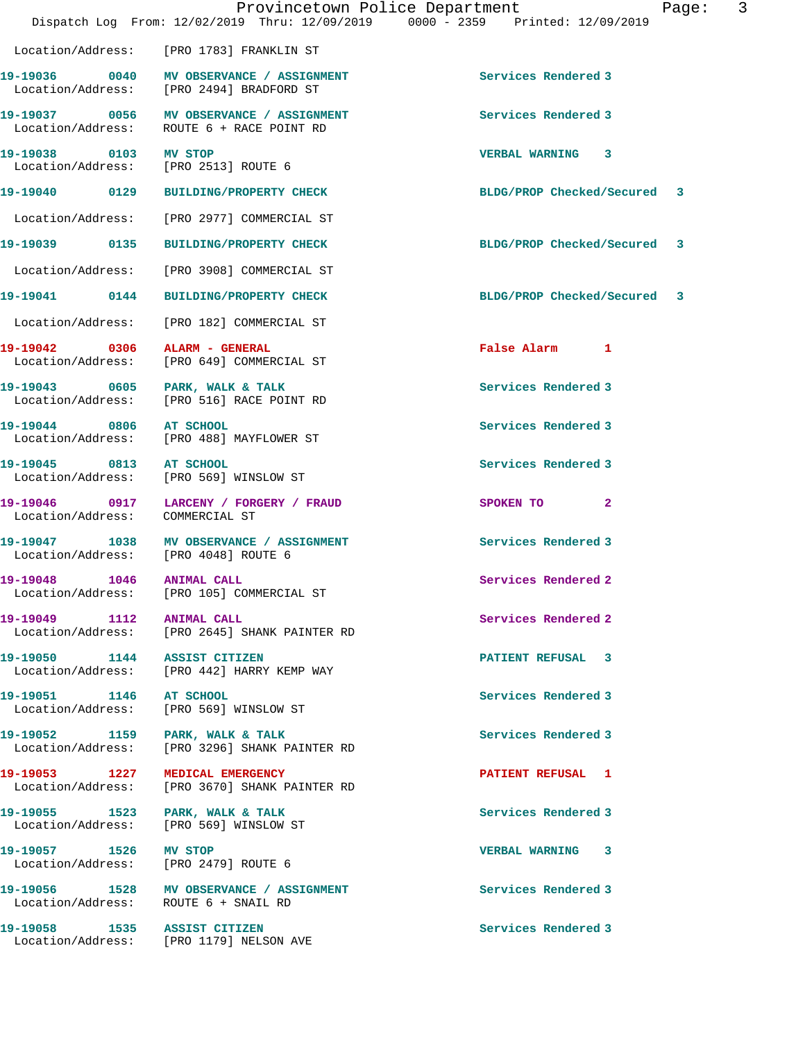|                           | Provincetown Police Department<br>Dispatch Log From: 12/02/2019 Thru: 12/09/2019 0000 - 2359 Printed: 12/09/2019 |                             | Page: | 3 |
|---------------------------|------------------------------------------------------------------------------------------------------------------|-----------------------------|-------|---|
|                           | Location/Address: [PRO 1783] FRANKLIN ST                                                                         |                             |       |   |
|                           | 19-19036 0040 MV OBSERVANCE / ASSIGNMENT<br>Location/Address: [PRO 2494] BRADFORD ST                             | Services Rendered 3         |       |   |
|                           | 19-19037 0056 MV OBSERVANCE / ASSIGNMENT<br>Location/Address: ROUTE 6 + RACE POINT RD                            | Services Rendered 3         |       |   |
|                           | 19-19038 0103 MV STOP<br>Location/Address: [PRO 2513] ROUTE 6                                                    | VERBAL WARNING 3            |       |   |
|                           | 19-19040 0129 BUILDING/PROPERTY CHECK                                                                            | BLDG/PROP Checked/Secured 3 |       |   |
|                           | Location/Address: [PRO 2977] COMMERCIAL ST                                                                       |                             |       |   |
|                           | 19-19039  0135 BUILDING/PROPERTY CHECK                                                                           | BLDG/PROP Checked/Secured 3 |       |   |
|                           | Location/Address: [PRO 3908] COMMERCIAL ST                                                                       |                             |       |   |
|                           | 19-19041  0144 BUILDING/PROPERTY CHECK                                                                           | BLDG/PROP Checked/Secured 3 |       |   |
|                           | Location/Address: [PRO 182] COMMERCIAL ST                                                                        |                             |       |   |
|                           | 19-19042 0306 ALARM - GENERAL<br>Location/Address: [PRO 649] COMMERCIAL ST                                       | False Alarm 1               |       |   |
|                           | 19-19043 0605 PARK, WALK & TALK<br>Location/Address: [PRO 516] RACE POINT RD                                     | Services Rendered 3         |       |   |
| 19-19044 0806 AT SCHOOL   | Location/Address: [PRO 488] MAYFLOWER ST                                                                         | Services Rendered 3         |       |   |
|                           | 19-19045 0813 AT SCHOOL<br>Location/Address: [PRO 569] WINSLOW ST                                                | Services Rendered 3         |       |   |
|                           | 19-19046 0917 LARCENY / FORGERY / FRAUD<br>Location/Address: COMMERCIAL ST                                       | SPOKEN TO 2                 |       |   |
|                           | 19-19047 1038 MV OBSERVANCE / ASSIGNMENT<br>Location/Address: [PRO 4048] ROUTE 6                                 | Services Rendered 3         |       |   |
|                           | Location/Address: [PRO 105] COMMERCIAL ST                                                                        | Services Rendered 2         |       |   |
| 19-19049 1112 ANIMAL CALL | Location/Address: [PRO 2645] SHANK PAINTER RD                                                                    | Services Rendered 2         |       |   |
|                           | 19-19050 1144 ASSIST CITIZEN<br>Location/Address: [PRO 442] HARRY KEMP WAY                                       | PATIENT REFUSAL 3           |       |   |
|                           | 19-19051 1146 AT SCHOOL<br>Location/Address: [PRO 569] WINSLOW ST                                                | Services Rendered 3         |       |   |
|                           | 19-19052 1159 PARK, WALK & TALK<br>Location/Address: [PRO 3296] SHANK PAINTER RD                                 | Services Rendered 3         |       |   |
|                           | 19-19053 1227 MEDICAL EMERGENCY<br>Location/Address: [PRO 3670] SHANK PAINTER RD                                 | PATIENT REFUSAL 1           |       |   |
|                           | 19-19055 1523 PARK, WALK & TALK<br>Location/Address: [PRO 569] WINSLOW ST                                        | Services Rendered 3         |       |   |
| 19-19057 1526 MV STOP     | Location/Address: [PRO 2479] ROUTE 6                                                                             | VERBAL WARNING 3            |       |   |
|                           | 19-19056 1528 MV OBSERVANCE / ASSIGNMENT<br>Location/Address: ROUTE 6 + SNAIL RD                                 | Services Rendered 3         |       |   |
|                           | 19-19058 1535 ASSIST CITIZEN<br>Location/Address: [PRO 1179] NELSON AVE                                          | Services Rendered 3         |       |   |
|                           |                                                                                                                  |                             |       |   |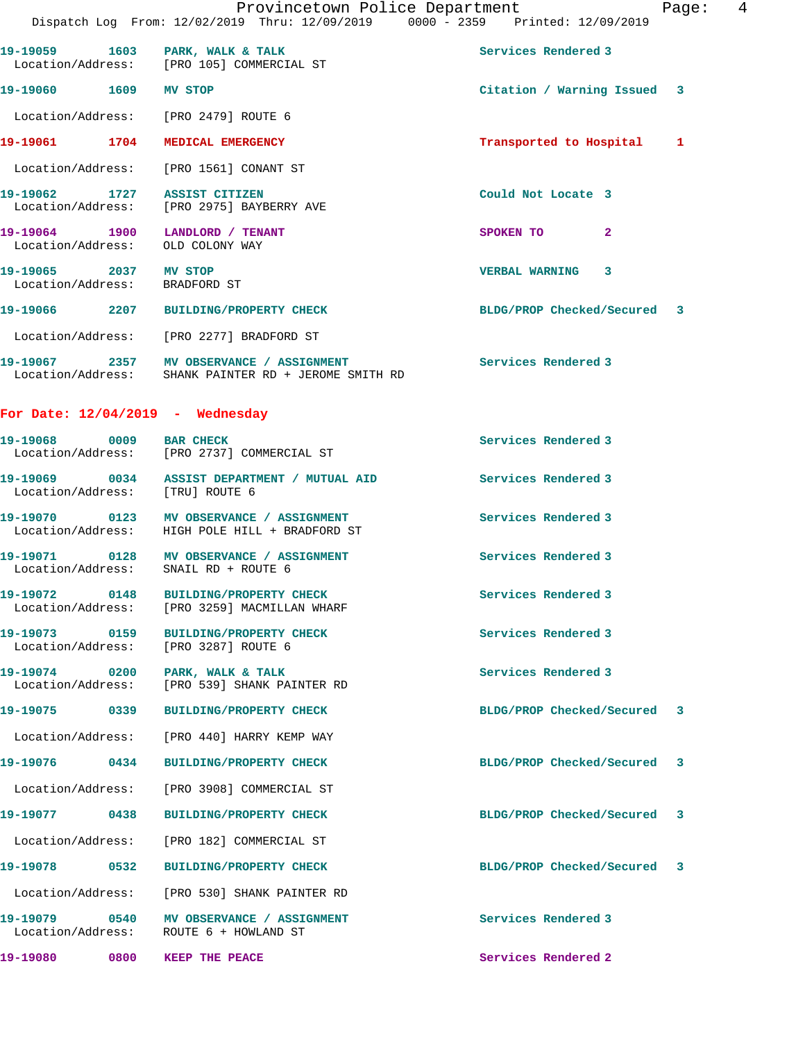| 19-19059                                          | 1603 PARK, WALK & TALK<br>Location/Address: [PRO 105] COMMERCIAL ST             | Services Rendered 3          |  |
|---------------------------------------------------|---------------------------------------------------------------------------------|------------------------------|--|
| 19-19060 1609                                     | <b>MV STOP</b>                                                                  | Citation / Warning Issued 3  |  |
| Location/Address: [PRO 2479] ROUTE 6              |                                                                                 |                              |  |
| 19-19061 1704                                     | MEDICAL EMERGENCY                                                               | Transported to Hospital<br>1 |  |
| Location/Address: [PRO 1561] CONANT ST            |                                                                                 |                              |  |
| $19 - 19062$                                      | 1727 ASSIST CITIZEN<br>Location/Address: [PRO 2975] BAYBERRY AVE                | Could Not Locate 3           |  |
| 19-19064 1900<br>Location/Address: OLD COLONY WAY | LANDLORD / TENANT                                                               | $\mathbf{2}$<br>SPOKEN TO    |  |
| 19-19065 2037<br>Location/Address:                | MV STOP<br>BRADFORD ST                                                          | <b>VERBAL WARNING</b><br>3   |  |
| 19-19066 2207                                     | <b>BUILDING/PROPERTY CHECK</b>                                                  | BLDG/PROP Checked/Secured 3  |  |
|                                                   | Location/Address: [PRO 2277] BRADFORD ST                                        |                              |  |
| Location/Address:                                 | 19-19067  2357 MV OBSERVANCE / ASSIGNMENT<br>SHANK PAINTER RD + JEROME SMITH RD | Services Rendered 3          |  |

**For Date: 12/04/2019 - Wednesday**

| 19-19068 0009                                         | <b>BAR CHECK</b><br>Location/Address: [PRO 2737] COMMERCIAL ST                        | Services Rendered 3         |  |
|-------------------------------------------------------|---------------------------------------------------------------------------------------|-----------------------------|--|
| Location/Address: [TRU] ROUTE 6                       |                                                                                       | Services Rendered 3         |  |
|                                                       | Location/Address: HIGH POLE HILL + BRADFORD ST                                        | Services Rendered 3         |  |
| Location/Address:                                     | 19-19071 0128 MV OBSERVANCE / ASSIGNMENT<br>SNAIL RD + ROUTE 6                        | Services Rendered 3         |  |
|                                                       | 19-19072 0148 BUILDING/PROPERTY CHECK<br>Location/Address: [PRO 3259] MACMILLAN WHARF | Services Rendered 3         |  |
| 19-19073 0159<br>Location/Address: [PRO 3287] ROUTE 6 | BUILDING/PROPERTY CHECK                                                               | Services Rendered 3         |  |
| 19-19074 0200<br>Location/Address:                    | PARK, WALK & TALK<br>[PRO 539] SHANK PAINTER RD                                       | Services Rendered 3         |  |
|                                                       | BUILDING/PROPERTY CHECK                                                               | BLDG/PROP Checked/Secured 3 |  |
|                                                       | Location/Address: [PRO 440] HARRY KEMP WAY                                            |                             |  |
| 19-19076 0434                                         | <b>BUILDING/PROPERTY CHECK</b>                                                        | BLDG/PROP Checked/Secured 3 |  |
|                                                       | Location/Address: [PRO 3908] COMMERCIAL ST                                            |                             |  |
| 19-19077 0438                                         | <b>BUILDING/PROPERTY CHECK</b>                                                        | BLDG/PROP Checked/Secured 3 |  |
|                                                       | Location/Address: [PRO 182] COMMERCIAL ST                                             |                             |  |
| 19-19078 0532                                         | BUILDING/PROPERTY CHECK                                                               | BLDG/PROP Checked/Secured 3 |  |
|                                                       | Location/Address: [PRO 530] SHANK PAINTER RD                                          |                             |  |
|                                                       | 19-19079 0540 MV OBSERVANCE / ASSIGNMENT<br>Location/Address: ROUTE 6 + HOWLAND ST    | Services Rendered 3         |  |
| 19-19080 0800 KEEP THE PEACE                          |                                                                                       | Services Rendered 2         |  |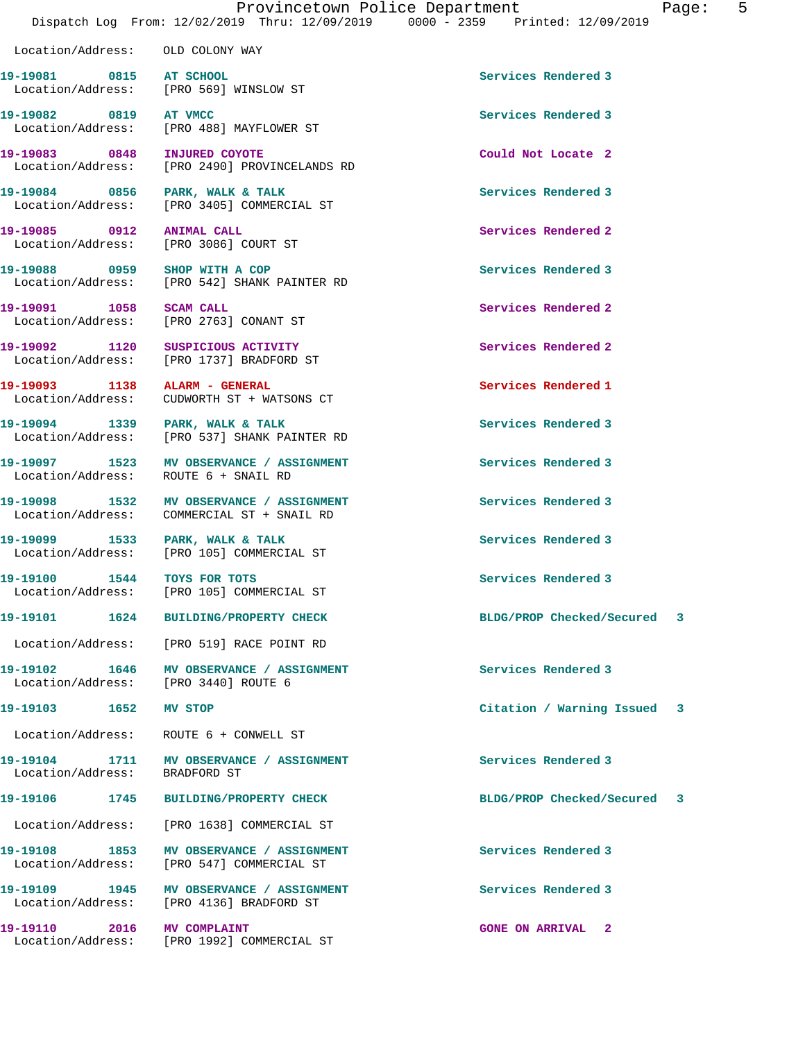Location/Address: OLD COLONY WAY

**19-19081 0815 AT SCHOOL Services Rendered 3**  Location/Address: [PRO 569] WINSLOW ST

Location/Address: [PRO 2490] PROVINCELANDS RD

Location/Address: [PRO 3405] COMMERCIAL ST

Location/Address: [PRO 3086] COURT ST

Location/Address: [PRO 519] RACE POINT RD

Location/Address: BRADFORD ST

**19-19082 0819 AT VMCC Services Rendered 3**  Location/Address: [PRO 488] MAYFLOWER ST **19-19083 0848 INJURED COYOTE Could Not Locate 2** 

19-19084 0856 PARK, WALK & TALK **Services Rendered 3** 

**19-19085 0912 ANIMAL CALL Services Rendered 2** 

**19-19088 0959 SHOP WITH A COP Services Rendered 3**  Location/Address: [PRO 542] SHANK PAINTER RD

**19-19091 1058 SCAM CALL Services Rendered 2**  Location/Address: [PRO 2763] CONANT ST

**19-19092 1120 SUSPICIOUS ACTIVITY Services Rendered 2**  Location/Address: [PRO 1737] BRADFORD ST

**19-19093 1138 ALARM - GENERAL Services Rendered 1**  Location/Address: CUDWORTH ST + WATSONS CT

19-19094 1339 PARK, WALK & TALK **Services Rendered 3** Location/Address: [PRO 537] SHANK PAINTER RD

**19-19097 1523 MV OBSERVANCE / ASSIGNMENT Services Rendered 3**  Location/Address: ROUTE 6 + SNAIL RD

**19-19098 1532 MV OBSERVANCE / ASSIGNMENT Services Rendered 3**  Location/Address: COMMERCIAL ST + SNAIL RD

**19-19099 1533 PARK, WALK & TALK Services Rendered 3**  Location/Address: [PRO 105] COMMERCIAL ST

**19-19100 1544 TOYS FOR TOTS Services Rendered 3**  Location/Address: [PRO 105] COMMERCIAL ST

**19-19102 1646 MV OBSERVANCE / ASSIGNMENT Services Rendered 3**  Location/Address: [PRO 3440] ROUTE 6

Location/Address: ROUTE 6 + CONWELL ST

**19-19104 1711 MV OBSERVANCE / ASSIGNMENT Services Rendered 3** 

Location/Address: [PRO 1638] COMMERCIAL ST

**19-19108 1853 MV OBSERVANCE / ASSIGNMENT Services Rendered 3**  Location/Address: [PRO 547] COMMERCIAL ST

**19-19109 1945 MV OBSERVANCE / ASSIGNMENT Services Rendered 3**  Location/Address: [PRO 4136] BRADFORD ST

**19-19110 2016 MV COMPLAINT GONE ON ARRIVAL 2**  Location/Address: [PRO 1992] COMMERCIAL ST

**19-19101 1624 BUILDING/PROPERTY CHECK BLDG/PROP Checked/Secured 3**

**19-19103 1652 MV STOP Citation / Warning Issued 3**

**19-19106 1745 BUILDING/PROPERTY CHECK BLDG/PROP Checked/Secured 3**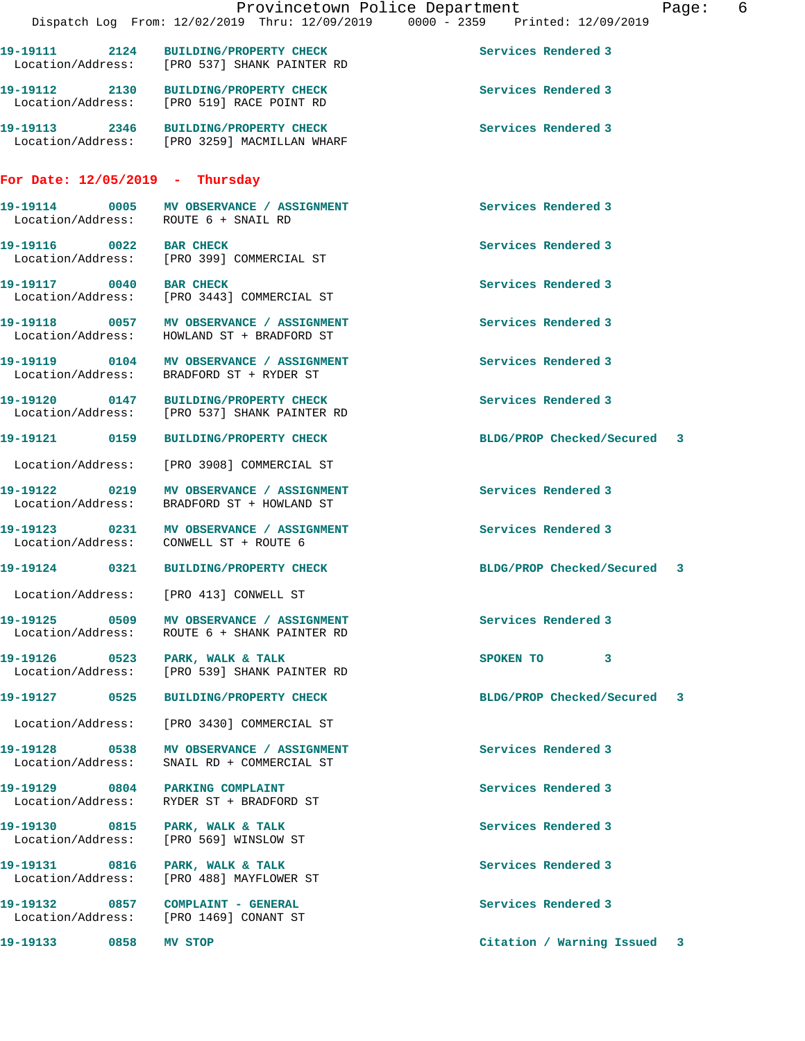|                                                                                          | Dispatch Log From: 12/02/2019 Thru: 12/09/2019 0000 - 2359 Printed: 12/09/2019 | Provincetown Police Department |                     |                             | Page: 6 |  |
|------------------------------------------------------------------------------------------|--------------------------------------------------------------------------------|--------------------------------|---------------------|-----------------------------|---------|--|
| 19-19111 2124 BUILDING/PROPERTY CHECK<br>Location/Address: [PRO 537] SHANK PAINTER RD    |                                                                                |                                | Services Rendered 3 |                             |         |  |
| 19-19112 2130 BUILDING/PROPERTY CHECK<br>Location/Address: [PRO 519] RACE POINT RD       |                                                                                |                                | Services Rendered 3 |                             |         |  |
| 19-19113 2346 BUILDING/PROPERTY CHECK<br>Location/Address: [PRO 3259] MACMILLAN WHARF    |                                                                                |                                | Services Rendered 3 |                             |         |  |
| For Date: $12/05/2019$ - Thursday                                                        |                                                                                |                                |                     |                             |         |  |
| 19-19114 0005 MV OBSERVANCE / ASSIGNMENT<br>Location/Address: ROUTE 6 + SNAIL RD         |                                                                                |                                | Services Rendered 3 |                             |         |  |
| 19-19116 0022 BAR CHECK<br>Location/Address: [PRO 399] COMMERCIAL ST                     |                                                                                |                                | Services Rendered 3 |                             |         |  |
| 19-19117 0040 BAR CHECK<br>Location/Address: [PRO 3443] COMMERCIAL ST                    |                                                                                |                                | Services Rendered 3 |                             |         |  |
| 19-19118 0057 MV OBSERVANCE / ASSIGNMENT<br>Location/Address: HOWLAND ST + BRADFORD ST   |                                                                                |                                | Services Rendered 3 |                             |         |  |
| 19-19119 0104 MV OBSERVANCE / ASSIGNMENT<br>Location/Address: BRADFORD ST + RYDER ST     |                                                                                |                                | Services Rendered 3 |                             |         |  |
| 19-19120 0147 BUILDING/PROPERTY CHECK<br>Location/Address: [PRO 537] SHANK PAINTER RD    |                                                                                |                                | Services Rendered 3 |                             |         |  |
| 19-19121 0159 BUILDING/PROPERTY CHECK                                                    |                                                                                |                                |                     | BLDG/PROP Checked/Secured 3 |         |  |
| Location/Address: [PRO 3908] COMMERCIAL ST                                               |                                                                                |                                |                     |                             |         |  |
|                                                                                          |                                                                                |                                | Services Rendered 3 |                             |         |  |
| 19-19123 0231 MV OBSERVANCE / ASSIGNMENT<br>Location/Address: CONWELL ST + ROUTE 6       |                                                                                |                                | Services Rendered 3 |                             |         |  |
| 19-19124 0321 BUILDING/PROPERTY CHECK                                                    |                                                                                |                                |                     | BLDG/PROP Checked/Secured 3 |         |  |
| Location/Address:                                                                        | [PRO 413] CONWELL ST                                                           |                                |                     |                             |         |  |
| 19-19125 0509 MV OBSERVANCE / ASSIGNMENT<br>Location/Address: ROUTE 6 + SHANK PAINTER RD |                                                                                |                                | Services Rendered 3 |                             |         |  |
| 19-19126 0523 PARK, WALK & TALK<br>Location/Address: [PRO 539] SHANK PAINTER RD          |                                                                                |                                | SPOKEN TO 3         |                             |         |  |
| 19-19127 0525 BUILDING/PROPERTY CHECK                                                    |                                                                                |                                |                     | BLDG/PROP Checked/Secured 3 |         |  |
| Location/Address: [PRO 3430] COMMERCIAL ST                                               |                                                                                |                                |                     |                             |         |  |
| Location/Address: SNAIL RD + COMMERCIAL ST                                               |                                                                                |                                | Services Rendered 3 |                             |         |  |
| 19-19129 0804 PARKING COMPLAINT<br>Location/Address:                                     | RYDER ST + BRADFORD ST                                                         |                                | Services Rendered 3 |                             |         |  |
| 19-19130 0815 PARK, WALK & TALK<br>Location/Address: [PRO 569] WINSLOW ST                |                                                                                |                                | Services Rendered 3 |                             |         |  |
| 19-19131 0816 PARK, WALK & TALK<br>Location/Address:                                     | [PRO 488] MAYFLOWER ST                                                         |                                | Services Rendered 3 |                             |         |  |
| 19-19132 0857 COMPLAINT - GENERAL<br>Location/Address: [PRO 1469] CONANT ST              |                                                                                |                                | Services Rendered 3 |                             |         |  |
| 19-19133 0858                                                                            | MV STOP                                                                        |                                |                     | Citation / Warning Issued   | 3       |  |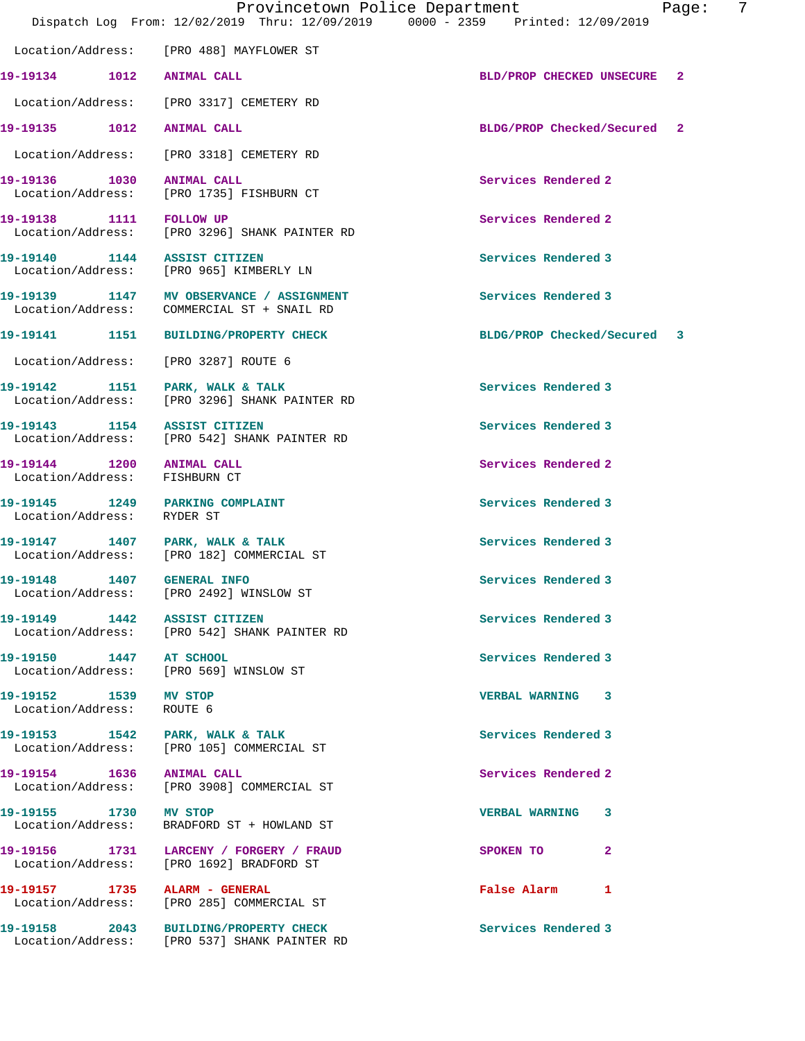|                                                               | Provincetown Police Department<br>Dispatch Log From: 12/02/2019 Thru: 12/09/2019 0000 - 2359 Printed: 12/09/2019 |                             | 7<br>Page:   |
|---------------------------------------------------------------|------------------------------------------------------------------------------------------------------------------|-----------------------------|--------------|
|                                                               | Location/Address: [PRO 488] MAYFLOWER ST                                                                         |                             |              |
|                                                               |                                                                                                                  | BLD/PROP CHECKED UNSECURE   | $\mathbf{2}$ |
|                                                               | Location/Address: [PRO 3317] CEMETERY RD                                                                         |                             |              |
|                                                               |                                                                                                                  | BLDG/PROP Checked/Secured 2 |              |
|                                                               | Location/Address: [PRO 3318] CEMETERY RD                                                                         |                             |              |
| 19-19136 1030 ANIMAL CALL                                     | Location/Address: [PRO 1735] FISHBURN CT                                                                         | Services Rendered 2         |              |
|                                                               |                                                                                                                  | Services Rendered 2         |              |
| 19-19140 1144 ASSIST CITIZEN                                  | Location/Address: [PRO 965] KIMBERLY LN                                                                          | Services Rendered 3         |              |
|                                                               | 19-19139 1147 MV OBSERVANCE / ASSIGNMENT<br>Location/Address: COMMERCIAL ST + SNAIL RD                           | Services Rendered 3         |              |
|                                                               | 19-19141 1151 BUILDING/PROPERTY CHECK                                                                            | BLDG/PROP Checked/Secured 3 |              |
| Location/Address: [PRO 3287] ROUTE 6                          |                                                                                                                  |                             |              |
| 19-19142 1151 PARK, WALK & TALK                               | Location/Address: [PRO 3296] SHANK PAINTER RD                                                                    | Services Rendered 3         |              |
| 19-19143 1154 ASSIST CITIZEN                                  | Location/Address: [PRO 542] SHANK PAINTER RD                                                                     | Services Rendered 3         |              |
| 19-19144 1200 ANIMAL CALL<br>Location/Address: FISHBURN CT    |                                                                                                                  | Services Rendered 2         |              |
| 19-19145 1249 PARKING COMPLAINT<br>Location/Address: RYDER ST |                                                                                                                  | Services Rendered 3         |              |
| 19-19147 1407 PARK, WALK & TALK                               | Location/Address: [PRO 182] COMMERCIAL ST                                                                        | Services Rendered 3         |              |
| 19-19148   1407   GENERAL INFO                                | Location/Address: [PRO 2492] WINSLOW ST                                                                          | Services Rendered 3         |              |
| 19-19149 1442 ASSIST CITIZEN                                  | Location/Address: [PRO 542] SHANK PAINTER RD                                                                     | Services Rendered 3         |              |
| 19-19150 1447 AT SCHOOL                                       | Location/Address: [PRO 569] WINSLOW ST                                                                           | Services Rendered 3         |              |
| 19-19152 1539 MV STOP<br>Location/Address: ROUTE 6            |                                                                                                                  | VERBAL WARNING 3            |              |
|                                                               | 19-19153 1542 PARK, WALK & TALK<br>Location/Address: [PRO 105] COMMERCIAL ST                                     | Services Rendered 3         |              |
| 19-19154 1636 ANIMAL CALL                                     | Location/Address: [PRO 3908] COMMERCIAL ST                                                                       | Services Rendered 2         |              |
| 19-19155 1730 MV STOP                                         | Location/Address: BRADFORD ST + HOWLAND ST                                                                       | VERBAL WARNING 3            |              |
|                                                               | 19-19156 1731 LARCENY / FORGERY / FRAUD<br>Location/Address: [PRO 1692] BRADFORD ST                              | SPOKEN TO 2                 |              |
|                                                               | 19-19157 1735 ALARM - GENERAL<br>Location/Address: [PRO 285] COMMERCIAL ST                                       | False Alarm 1               |              |
|                                                               | 19-19158 2043 BUILDING/PROPERTY CHECK<br>Location/Address: [PRO 537] SHANK PAINTER RD                            | Services Rendered 3         |              |
|                                                               |                                                                                                                  |                             |              |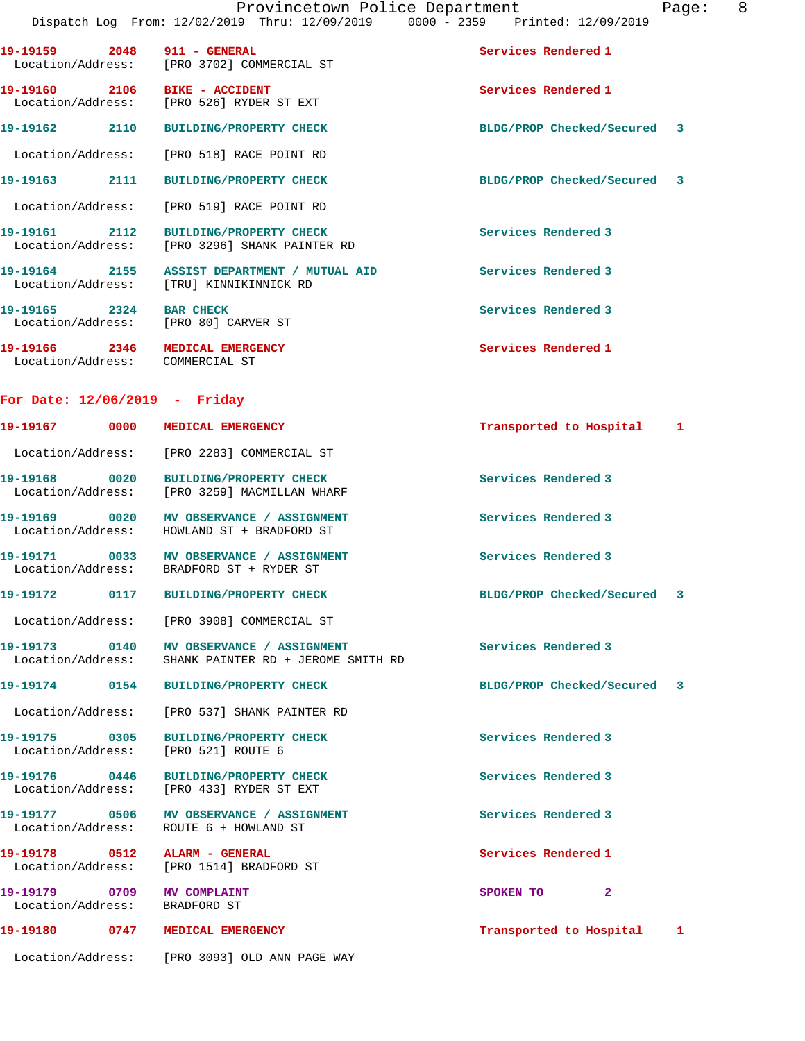|                               |      |                                           | Dispatch Log From: 12/02/2019 Thru: 12/09/2019 | $0000 - 2359$ | Printed: 12/09/2019 |  |
|-------------------------------|------|-------------------------------------------|------------------------------------------------|---------------|---------------------|--|
| 19–19159<br>Location/Address: | 2048 | 911 - GENERAL<br>[PRO 3702] COMMERCIAL ST |                                                |               | Services Rendered 1 |  |
| 19–19160                      | 2106 | <b>BIKE - ACCIDENT</b>                    |                                                |               | Services Rendered 1 |  |

**19-19162 2110 BUILDING/PROPERTY CHECK BLDG/PROP Checked/Secured 3**

Location/Address: [PRO 518] RACE POINT RD

Location/Address: [PRO 526] RYDER ST EXT

**19-19163 2111 BUILDING/PROPERTY CHECK BLDG/PROP Checked/Secured 3**

Location/Address: [PRO 519] RACE POINT RD

**19-19161 2112 BUILDING/PROPERTY CHECK Services Rendered 3**  Location/Address: [PRO 3296] SHANK PAINTER RD

**19-19164 2155 ASSIST DEPARTMENT / MUTUAL AID Services Rendered 3**  Location/Address: [TRU] KINNIKINNICK RD **19-19165 2324 BAR CHECK Services Rendered 3**  Location/Address: [PRO 80] CARVER ST

**19-19166 2346 MEDICAL EMERGENCY Services Rendered 1**  Location/Address: COMMERCIAL ST

## **For Date: 12/06/2019 - Friday**

|  | 19-19167 0000 MEDICAL EMERGENCY                                                        | Transported to Hospital 1   |  |
|--|----------------------------------------------------------------------------------------|-----------------------------|--|
|  | Location/Address: [PRO 2283] COMMERCIAL ST                                             |                             |  |
|  | 19-19168 0020 BUILDING/PROPERTY CHECK<br>Location/Address: [PRO 3259] MACMILLAN WHARF  | Services Rendered 3         |  |
|  | 19-19169 0020 MV OBSERVANCE / ASSIGNMENT<br>Location/Address: HOWLAND ST + BRADFORD ST | Services Rendered 3         |  |
|  | 19-19171 0033 MV OBSERVANCE / ASSIGNMENT<br>Location/Address: BRADFORD ST + RYDER ST   | Services Rendered 3         |  |
|  | 19-19172  0117 BUILDING/PROPERTY CHECK                                                 | BLDG/PROP Checked/Secured 3 |  |
|  | Location/Address: [PRO 3908] COMMERCIAL ST                                             |                             |  |
|  | Location/Address: SHANK PAINTER RD + JEROME SMITH RD                                   | Services Rendered 3         |  |
|  | 19-19174 0154 BUILDING/PROPERTY CHECK                                                  | BLDG/PROP Checked/Secured 3 |  |
|  | Location/Address: [PRO 537] SHANK PAINTER RD                                           |                             |  |
|  | 19-19175 0305 BUILDING/PROPERTY CHECK<br>Location/Address: [PRO 521] ROUTE 6           | Services Rendered 3         |  |
|  | 19-19176 0446 BUILDING/PROPERTY CHECK<br>Location/Address: [PRO 433] RYDER ST EXT      | Services Rendered 3         |  |
|  | 19-19177 0506 MV OBSERVANCE / ASSIGNMENT<br>Location/Address: ROUTE 6 + HOWLAND ST     | Services Rendered 3         |  |
|  | Location/Address: [PRO 1514] BRADFORD ST                                               | Services Rendered 1         |  |
|  | 19-19179 0709 MV COMPLAINT<br>Location/Address: BRADFORD ST                            | SPOKEN TO 2                 |  |
|  | 19-19180 0747 MEDICAL EMERGENCY                                                        | Transported to Hospital 1   |  |
|  | Location/Address: [PRO 3093] OLD ANN PAGE WAY                                          |                             |  |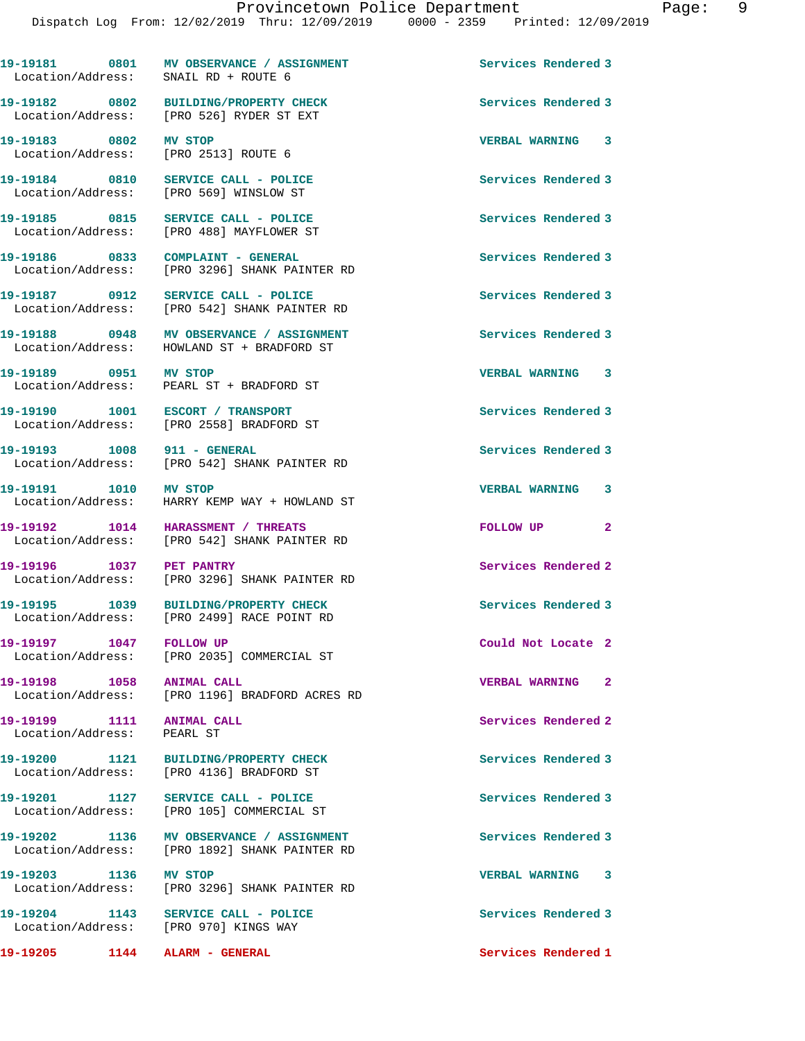19-19181 0801 MV OBSERVANCE / ASSIGNMENT Services Rendered 3

**19-19182 0802 BUILDING/PROPERTY CHECK Services Rendered 3** 

Location/Address: SNAIL RD + ROUTE 6

Location/Address: [PRO 526] RYDER ST EXT

**19-19183 0802 MV STOP VERBAL WARNING 3**  Location/Address: [PRO 2513] ROUTE 6 **19-19184 0810 SERVICE CALL - POLICE Services Rendered 3**  Location/Address: [PRO 569] WINSLOW ST **19-19185 0815 SERVICE CALL - POLICE Services Rendered 3**  Location/Address: [PRO 488] MAYFLOWER ST **19-19186 0833 COMPLAINT - GENERAL Services Rendered 3**  Location/Address: [PRO 3296] SHANK PAINTER RD **19-19187 0912 SERVICE CALL - POLICE Services Rendered 3**  Location/Address: [PRO 542] SHANK PAINTER RD 19-19188 **0948** MV OBSERVANCE / ASSIGNMENT **Services Rendered 3**  Location/Address: HOWLAND ST + BRADFORD ST **19-19189 0951 MV STOP VERBAL WARNING 3**  Location/Address: PEARL ST + BRADFORD ST **19-19190 1001 ESCORT / TRANSPORT Services Rendered 3**  Location/Address: [PRO 2558] BRADFORD ST 19-19193 1008 911 - GENERAL **Services Rendered 3**  Location/Address: [PRO 542] SHANK PAINTER RD **19-19191 1010 MV STOP VERBAL WARNING 3**  Location/Address: HARRY KEMP WAY + HOWLAND ST **19-19192 1014 HARASSMENT / THREATS FOLLOW UP 2**  Location/Address: [PRO 542] SHANK PAINTER RD **19-19196 1037 PET PANTRY Services Rendered 2**  Location/Address: [PRO 3296] SHANK PAINTER RD **19-19195 1039 BUILDING/PROPERTY CHECK Services Rendered 3**  Location/Address: [PRO 2499] RACE POINT RD **19-19197 1047 FOLLOW UP Could Not Locate 2**  Location/Address: [PRO 2035] COMMERCIAL ST **19-19198 1058 ANIMAL CALL VERBAL WARNING 2**  Location/Address: [PRO 1196] BRADFORD ACRES RD **19-19199 1111 ANIMAL CALL Services Rendered 2**  Location/Address: PEARL ST **19-19200 1121 BUILDING/PROPERTY CHECK Services Rendered 3**  Location/Address: [PRO 4136] BRADFORD ST 19-19201 1127 SERVICE CALL - POLICE **Services Rendered 3**  Location/Address: [PRO 105] COMMERCIAL ST **19-19202 1136 MV OBSERVANCE / ASSIGNMENT Services Rendered 3**  Location/Address: [PRO 1892] SHANK PAINTER RD **19-19203 1136 MV STOP VERBAL WARNING 3**  [PRO 3296] SHANK PAINTER RD **19-19204 1143 SERVICE CALL - POLICE Services Rendered 3**  Location/Address: [PRO 970] KINGS WAY **19-19205 1144 ALARM - GENERAL Services Rendered 1**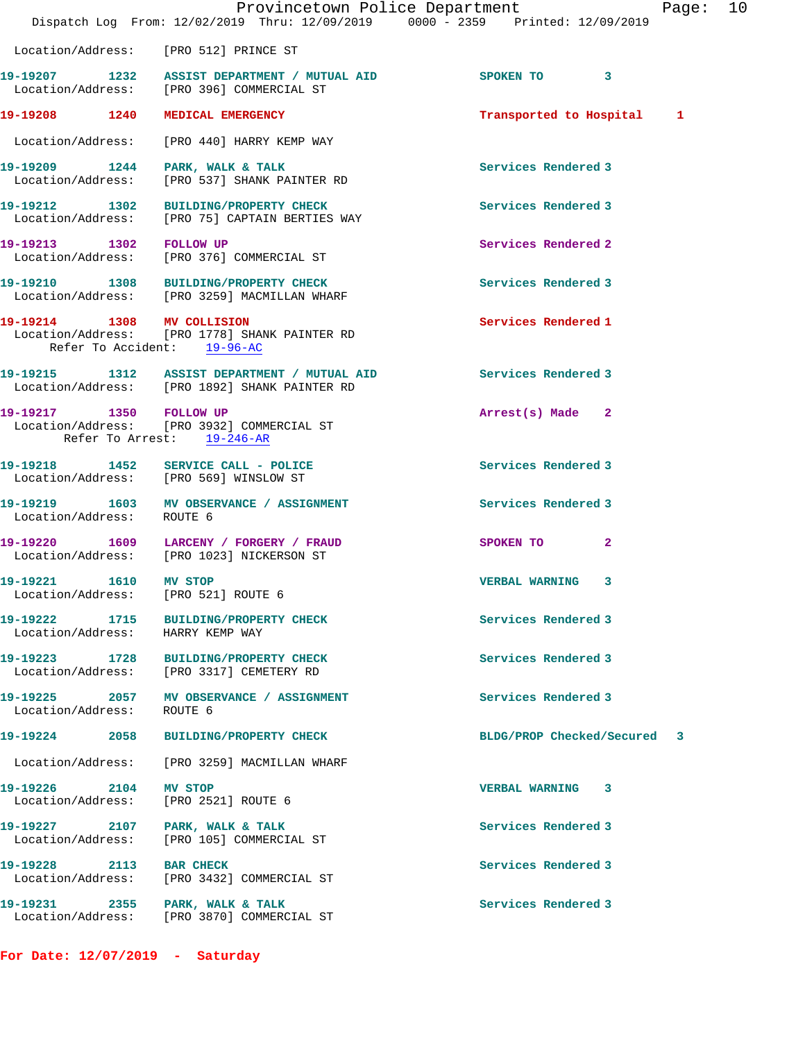|                                    |      | Provincetown Police Department<br>Dispatch Log From: 12/02/2019 Thru: 12/09/2019 0000 - 2359 Printed: 12/09/2019 |                            | Page: | 10 |
|------------------------------------|------|------------------------------------------------------------------------------------------------------------------|----------------------------|-------|----|
|                                    |      | Location/Address: [PRO 512] PRINCE ST                                                                            |                            |       |    |
|                                    |      | 19-19207 1232 ASSIST DEPARTMENT / MUTUAL AID<br>Location/Address: [PRO 396] COMMERCIAL ST                        | SPOKEN TO 3                |       |    |
|                                    |      | 19-19208 1240 MEDICAL EMERGENCY                                                                                  | Transported to Hospital    | 1     |    |
|                                    |      | Location/Address: [PRO 440] HARRY KEMP WAY                                                                       |                            |       |    |
|                                    |      | 19-19209 1244 PARK, WALK & TALK<br>Location/Address: [PRO 537] SHANK PAINTER RD                                  | Services Rendered 3        |       |    |
|                                    |      | 19-19212 1302 BUILDING/PROPERTY CHECK<br>Location/Address: [PRO 75] CAPTAIN BERTIES WAY                          | Services Rendered 3        |       |    |
| 19-19213 1302 FOLLOW UP            |      | Location/Address: [PRO 376] COMMERCIAL ST                                                                        | Services Rendered 2        |       |    |
|                                    |      | 19-19210 1308 BUILDING/PROPERTY CHECK<br>Location/Address: [PRO 3259] MACMILLAN WHARF                            | Services Rendered 3        |       |    |
| 19-19214 1308 MV COLLISION         |      | Location/Address: [PRO 1778] SHANK PAINTER RD<br>Refer To Accident: 19-96-AC                                     | Services Rendered 1        |       |    |
|                                    |      | 19-19215 1312 ASSIST DEPARTMENT / MUTUAL AID<br>Location/Address: [PRO 1892] SHANK PAINTER RD                    | Services Rendered 3        |       |    |
| 19-19217 1350 FOLLOW UP            |      | Location/Address: [PRO 3932] COMMERCIAL ST<br>Refer To Arrest: 19-246-AR                                         | Arrest(s) Made 2           |       |    |
|                                    |      | 19-19218   1452   SERVICE CALL - POLICE<br>Location/Address: [PRO 569] WINSLOW ST                                | Services Rendered 3        |       |    |
| Location/Address: ROUTE 6          |      | 19-19219 1603 MV OBSERVANCE / ASSIGNMENT                                                                         | Services Rendered 3        |       |    |
|                                    |      | 19-19220 1609 LARCENY / FORGERY / FRAUD<br>Location/Address: [PRO 1023] NICKERSON ST                             | $\mathbf{2}$<br>SPOKEN TO  |       |    |
| 19-19221<br>Location/Address:      | 1610 | MV STOP<br>[PRO 521] ROUTE 6                                                                                     | <b>VERBAL WARNING</b><br>3 |       |    |
| 19-19222 1715<br>Location/Address: |      | <b>BUILDING/PROPERTY CHECK</b><br>HARRY KEMP WAY                                                                 | Services Rendered 3        |       |    |
| 19-19223 1728<br>Location/Address: |      | <b>BUILDING/PROPERTY CHECK</b><br>[PRO 3317] CEMETERY RD                                                         | Services Rendered 3        |       |    |
| 19-19225 2057<br>Location/Address: |      | MV OBSERVANCE / ASSIGNMENT<br>ROUTE 6                                                                            | Services Rendered 3        |       |    |
| 19-19224                           | 2058 | <b>BUILDING/PROPERTY CHECK</b>                                                                                   | BLDG/PROP Checked/Secured  | 3     |    |
| Location/Address:                  |      | [PRO 3259] MACMILLAN WHARF                                                                                       |                            |       |    |
| 19-19226<br>Location/Address:      | 2104 | MV STOP<br>[PRO 2521] ROUTE 6                                                                                    | VERBAL WARNING 3           |       |    |
| 19-19227 2107<br>Location/Address: |      | PARK, WALK & TALK<br>[PRO 105] COMMERCIAL ST                                                                     | Services Rendered 3        |       |    |
| 19-19228<br>Location/Address:      | 2113 | <b>BAR CHECK</b><br>[PRO 3432] COMMERCIAL ST                                                                     | Services Rendered 3        |       |    |
| 19-19231                           | 2355 | PARK, WALK & TALK<br>Location/Address: [PRO 3870] COMMERCIAL ST                                                  | Services Rendered 3        |       |    |

**For Date: 12/07/2019 - Saturday**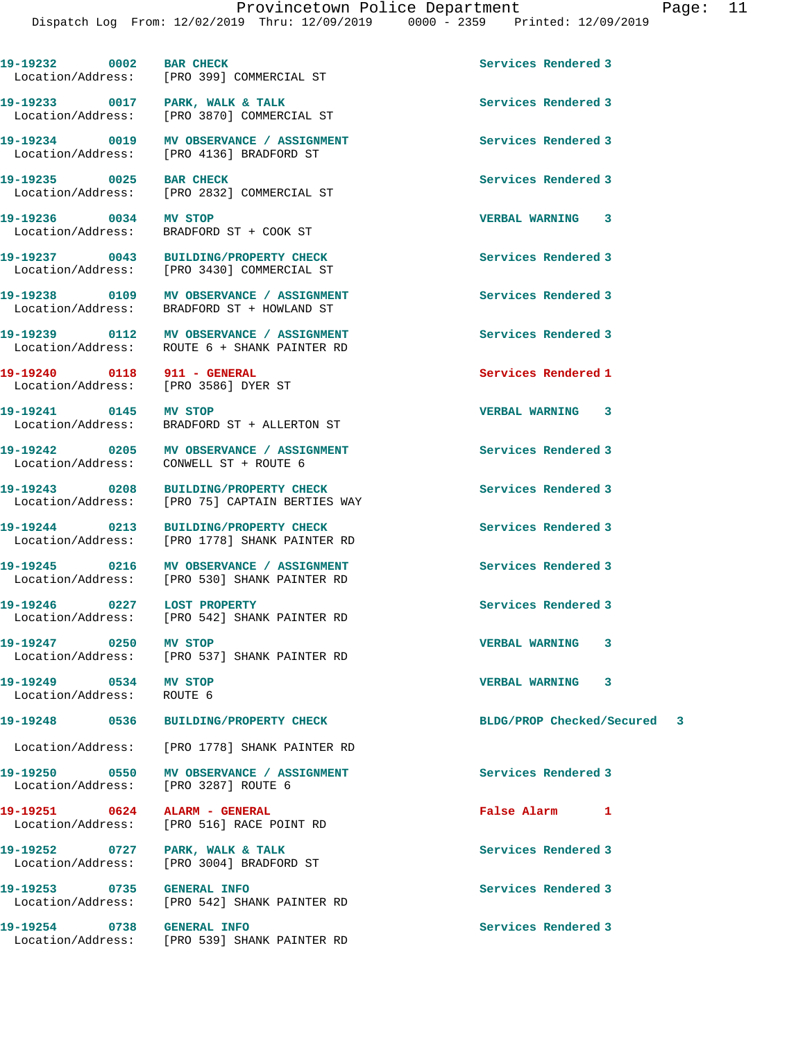19-19232 0002 BAR CHECK Services Rendered 3

 Location/Address: [PRO 399] COMMERCIAL ST 19-19233 0017 PARK, WALK & TALK **Services Rendered** 3 Location/Address: [PRO 3870] COMMERCIAL ST **19-19234 0019 MV OBSERVANCE / ASSIGNMENT Services Rendered 3**  Location/Address: [PRO 4136] BRADFORD ST **19-19235** 0025 BAR CHECK Services Rendered 3<br>
Location/Address: [PRO 2832] COMMERCIAL ST [PRO 2832] COMMERCIAL ST **19-19236 0034 MV STOP VERBAL WARNING 3**  Location/Address: BRADFORD ST + COOK ST **19-19237 0043 BUILDING/PROPERTY CHECK Services Rendered 3**  Location/Address: [PRO 3430] COMMERCIAL ST **19-19238 0109 MV OBSERVANCE / ASSIGNMENT Services Rendered 3**  Location/Address: BRADFORD ST + HOWLAND ST **19-19239 0112 MV OBSERVANCE / ASSIGNMENT Services Rendered 3**  Location/Address: ROUTE 6 + SHANK PAINTER RD **19-19240 0118 911 - GENERAL Services Rendered 1**  Location/Address: [PRO 3586] DYER ST **19-19241 0145 MV STOP VERBAL WARNING 3**  Location/Address: BRADFORD ST + ALLERTON ST 19-19242 0205 MV OBSERVANCE / ASSIGNMENT **Services Rendered 3**  Location/Address: CONWELL ST + ROUTE 6 **19-19243 0208 BUILDING/PROPERTY CHECK Services Rendered 3**  Location/Address: [PRO 75] CAPTAIN BERTIES WAY **19-19244 0213 BUILDING/PROPERTY CHECK Services Rendered 3**  Location/Address: [PRO 1778] SHANK PAINTER RD **19-19245 0216 MV OBSERVANCE / ASSIGNMENT Services Rendered 3**  Location/Address: [PRO 530] SHANK PAINTER RD 19-19246 **0227** LOST PROPERTY **Services Rendered 3**  Location/Address: [PRO 542] SHANK PAINTER RD **19-19247 0250 MV STOP VERBAL WARNING 3**  Location/Address: [PRO 537] SHANK PAINTER RD **19-19249 0534 MV STOP VERBAL WARNING 3**  Location/Address: ROUTE 6 **19-19248 0536 BUILDING/PROPERTY CHECK BLDG/PROP Checked/Secured 3** Location/Address: [PRO 1778] SHANK PAINTER RD **19-19250 0550 MV OBSERVANCE / ASSIGNMENT Services Rendered 3**  Location/Address: [PRO 3287] ROUTE 6 **19-19251 0624 ALARM - GENERAL False Alarm 1**  Location/Address: [PRO 516] RACE POINT RD 19-19252 0727 PARK, WALK & TALK **Services Rendered 3**  Location/Address: [PRO 3004] BRADFORD ST **19-19253 0735 GENERAL INFO Services Rendered 3**  Location/Address: [PRO 542] SHANK PAINTER RD **19-19254 0738 GENERAL INFO Services Rendered 3**  Location/Address: [PRO 539] SHANK PAINTER RD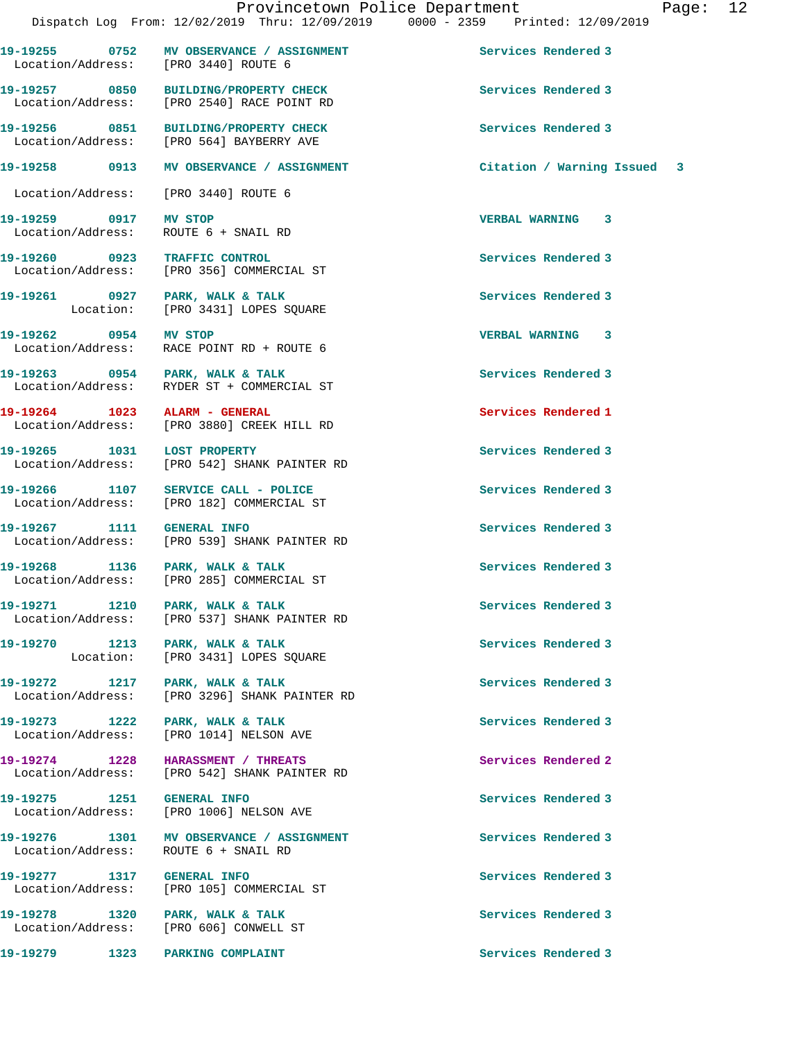**19-19255 0752 MV OBSERVANCE / ASSIGNMENT Services Rendered 3** 

Location/Address: [PRO 3440] ROUTE 6

Location/Address: [PRO 2540] RACE POINT RD

**19-19256 0851 BUILDING/PROPERTY CHECK Services Rendered 3**  Location/Address: [PRO 564] BAYBERRY AVE **19-19258 0913 MV OBSERVANCE / ASSIGNMENT Citation / Warning Issued 3** Location/Address: [PRO 3440] ROUTE 6 **19-19259 0917 MV STOP VERBAL WARNING 3**  Location/Address: ROUTE 6 + SNAIL RD **19-19260 0923 TRAFFIC CONTROL Services Rendered 3**  Location/Address: [PRO 356] COMMERCIAL ST **19-19261 0927 PARK, WALK & TALK Services Rendered 3**  Location: [PRO 3431] LOPES SQUARE **19-19262 0954 MV STOP VERBAL WARNING 3**  Location/Address: RACE POINT RD + ROUTE 6 **19-19263 0954 PARK, WALK & TALK Services Rendered 3**  Location/Address: RYDER ST + COMMERCIAL ST **19-19264 1023 ALARM - GENERAL Services Rendered 1**  Location/Address: [PRO 3880] CREEK HILL RD **19-19265 1031 LOST PROPERTY Services Rendered 3**  Location/Address: [PRO 542] SHANK PAINTER RD **19-19266 1107 SERVICE CALL - POLICE Services Rendered 3**  Location/Address: [PRO 182] COMMERCIAL ST **19-19267 1111 GENERAL INFO Services Rendered 3**  [PRO 539] SHANK PAINTER RD **19-19268 1136 PARK, WALK & TALK Services Rendered 3**  Location/Address: [PRO 285] COMMERCIAL ST **19-19271 1210 PARK, WALK & TALK Services Rendered 3** 

Location/Address: [PRO 537] SHANK PAINTER RD

Location: [PRO 3431] LOPES SQUARE

Location/Address: [PRO 3296] SHANK PAINTER RD

Location/Address: [PRO 1014] NELSON AVE

**19-19274 1228 HARASSMENT / THREATS Services Rendered 2**  Location/Address: [PRO 542] SHANK PAINTER RD

Location/Address: [PRO 1006] NELSON AVE

Location/Address: ROUTE 6 + SNAIL RD

**19-19277 1317 GENERAL INFO Services Rendered 3** 

**19-19278 1320 PARK, WALK & TALK Services Rendered 3**  Location/Address: [PRO 606] CONWELL ST

19-19270 1213 PARK, WALK & TALK **Services Rendered 3** 

19-19272 1217 PARK, WALK & TALK **Services Rendered 3** 

19-19273 1222 PARK, WALK & TALK **Services Rendered 3** 

**19-19275 1251 GENERAL INFO Services Rendered 3** 

**19-19276 1301 MV OBSERVANCE / ASSIGNMENT Services Rendered 3** 

Location/Address: [PRO 105] COMMERCIAL ST

**19-19257 0850 BUILDING/PROPERTY CHECK Services Rendered 3** 

**19-19279 1323 PARKING COMPLAINT Services Rendered 3**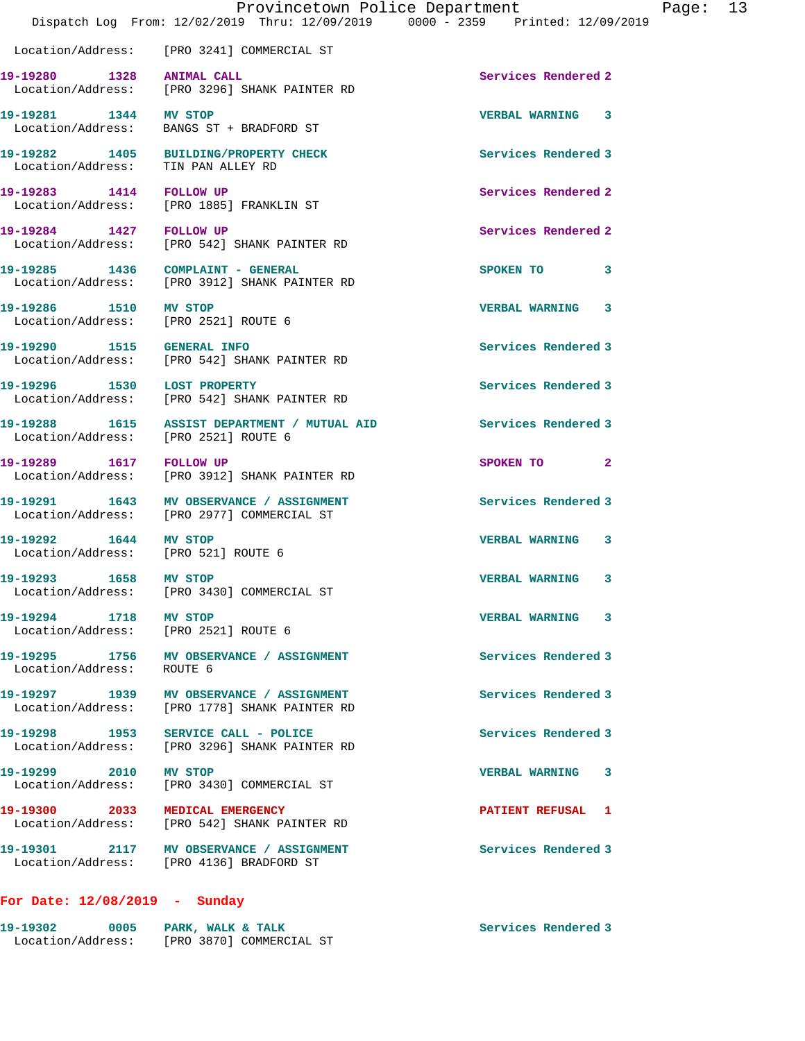|                                                               | Provincetown Police Department<br>Dispatch Log From: 12/02/2019 Thru: 12/09/2019 0000 - 2359 Printed: 12/09/2019 |                         |                |
|---------------------------------------------------------------|------------------------------------------------------------------------------------------------------------------|-------------------------|----------------|
|                                                               | Location/Address: [PRO 3241] COMMERCIAL ST                                                                       |                         |                |
|                                                               | 19-19280 1328 ANIMAL CALL<br>Location/Address: [PRO 3296] SHANK PAINTER RD                                       | Services Rendered 2     |                |
| 19-19281 1344 MV STOP                                         | Location/Address: BANGS ST + BRADFORD ST                                                                         | VERBAL WARNING 3        |                |
|                                                               | 19-19282 1405 BUILDING/PROPERTY CHECK<br>Location/Address: TIN PAN ALLEY RD                                      | Services Rendered 3     |                |
| 19-19283 1414 FOLLOW UP                                       | Location/Address: [PRO 1885] FRANKLIN ST                                                                         | Services Rendered 2     |                |
| 19-19284 1427 FOLLOW UP                                       | Location/Address: [PRO 542] SHANK PAINTER RD                                                                     | Services Rendered 2     |                |
|                                                               | 19-19285 1436 COMPLAINT - GENERAL<br>Location/Address: [PRO 3912] SHANK PAINTER RD                               | SPOKEN TO               | 3              |
| 19-19286 1510 MV STOP<br>Location/Address: [PRO 2521] ROUTE 6 |                                                                                                                  | <b>VERBAL WARNING 3</b> |                |
|                                                               | Location/Address: [PRO 542] SHANK PAINTER RD                                                                     | Services Rendered 3     |                |
| 19-19296 1530 LOST PROPERTY                                   | Location/Address: [PRO 542] SHANK PAINTER RD                                                                     | Services Rendered 3     |                |
| Location/Address: [PRO 2521] ROUTE 6                          | 19-19288 1615 ASSIST DEPARTMENT / MUTUAL AID                                                                     | Services Rendered 3     |                |
|                                                               | 19-19289 1617 FOLLOW UP<br>Location/Address: [PRO 3912] SHANK PAINTER RD                                         | SPOKEN TO               | $\overline{2}$ |
| 19-19291                                                      | 1643 MV OBSERVANCE / ASSIGNMENT<br>Location/Address: [PRO 2977] COMMERCIAL ST                                    | Services Rendered 3     |                |
| 19-19292 1644 MV STOP<br>Location/Address: [PRO 521] ROUTE 6  |                                                                                                                  | <b>VERBAL WARNING</b>   | 3              |
| 19-19293 1658 MV STOP                                         | Location/Address: [PRO 3430] COMMERCIAL ST                                                                       | <b>VERBAL WARNING</b>   | 3              |
| 19-19294 1718 MV STOP<br>Location/Address: [PRO 2521] ROUTE 6 |                                                                                                                  | <b>VERBAL WARNING</b>   | 3              |

**19-19295 1756 MV OBSERVANCE / ASSIGNMENT Services Rendered 3**  Location/Address: ROUTE 6

19-19297 1939 MV OBSERVANCE / ASSIGNMENT **Services Rendered 3** Location/Address: [PRO 1778] SHANK PAINTER RD

**19-19298 1953 SERVICE CALL - POLICE Services Rendered 3**  Location/Address: [PRO 3296] SHANK PAINTER RD

**19-19299 2010 MV STOP VERBAL WARNING 3**  Location/Address: [PRO 3430] COMMERCIAL ST

**19-19300 2033 MEDICAL EMERGENCY PATIENT REFUSAL 1**  Location/Address: [PRO 542] SHANK PAINTER RD

**19-19301 2117 MV OBSERVANCE / ASSIGNMENT Services Rendered 3**  Location/Address: [PRO 4136] BRADFORD ST

## **For Date: 12/08/2019 - Sunday**

| 19-19302          | 0005 | PARK, WALK & TALK        | Services Rendered 3 |
|-------------------|------|--------------------------|---------------------|
| Location/Address: |      | [PRO 3870] COMMERCIAL ST |                     |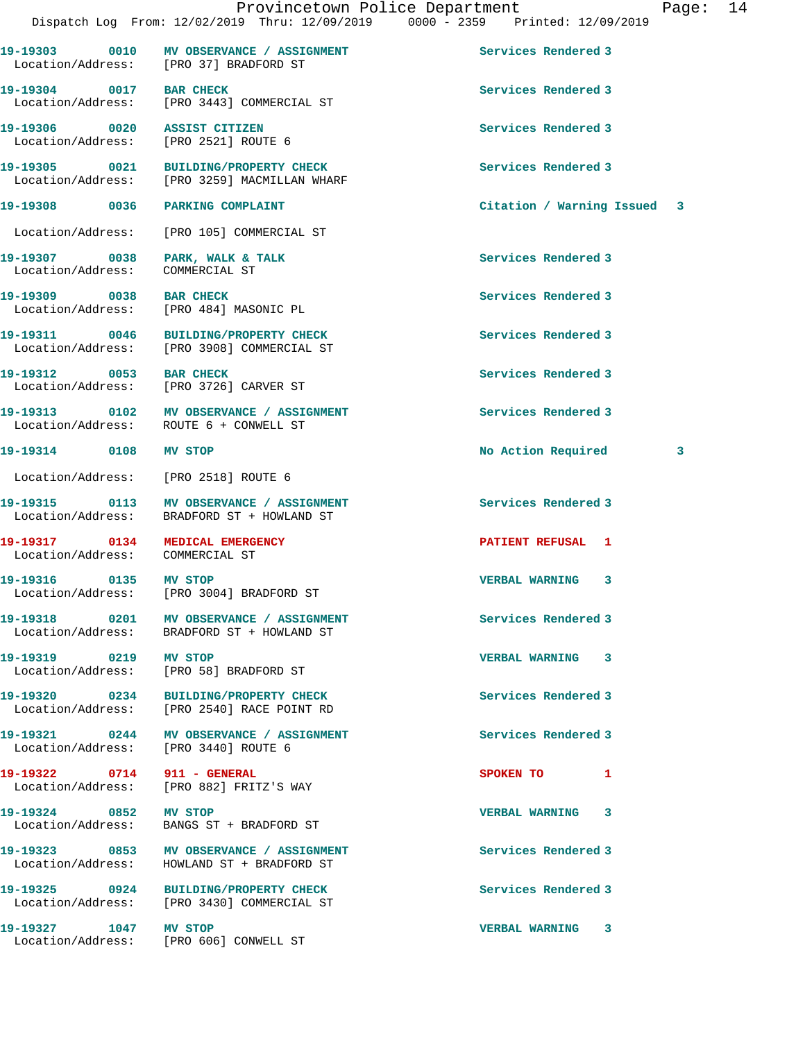|                                                                    |                                                                                        | Dispatch Log From: 12/02/2019 Thru: 12/09/2019 0000 - 2359 Printed: 12/09/2019 |
|--------------------------------------------------------------------|----------------------------------------------------------------------------------------|--------------------------------------------------------------------------------|
|                                                                    | 19-19303 0010 MV OBSERVANCE / ASSIGNMENT<br>Location/Address: [PRO 37] BRADFORD ST     | Services Rendered 3                                                            |
|                                                                    | 19-19304 0017 BAR CHECK<br>Location/Address: [PRO 3443] COMMERCIAL ST                  | Services Rendered 3                                                            |
|                                                                    | 19-19306 0020 ASSIST CITIZEN<br>Location/Address: [PRO 2521] ROUTE 6                   | Services Rendered 3                                                            |
|                                                                    | 19-19305 0021 BUILDING/PROPERTY CHECK<br>Location/Address: [PRO 3259] MACMILLAN WHARF  | Services Rendered 3                                                            |
| 19-19308 0036 PARKING COMPLAINT                                    |                                                                                        | Citation / Warning Issued 3                                                    |
|                                                                    | Location/Address: [PRO 105] COMMERCIAL ST                                              |                                                                                |
| Location/Address:                                                  | 19-19307 0038 PARK, WALK & TALK<br>COMMERCIAL ST                                       | Services Rendered 3                                                            |
| 19-19309 0038 BAR CHECK                                            | Location/Address: [PRO 484] MASONIC PL                                                 | Services Rendered 3                                                            |
|                                                                    | 19-19311 0046 BUILDING/PROPERTY CHECK<br>Location/Address: [PRO 3908] COMMERCIAL ST    | Services Rendered 3                                                            |
| 19-19312 0053 BAR CHECK                                            | Location/Address: [PRO 3726] CARVER ST                                                 | Services Rendered 3                                                            |
|                                                                    | 19-19313 0102 MV OBSERVANCE / ASSIGNMENT<br>Location/Address: ROUTE 6 + CONWELL ST     | Services Rendered 3                                                            |
| 19-19314 0108 MV STOP                                              |                                                                                        | No Action Required 3                                                           |
| Location/Address: [PRO 2518] ROUTE 6                               |                                                                                        |                                                                                |
|                                                                    | 19-19315 0113 MV OBSERVANCE / ASSIGNMENT<br>Location/Address: BRADFORD ST + HOWLAND ST | Services Rendered 3                                                            |
| 19-19317 0134 MEDICAL EMERGENCY<br>Location/Address: COMMERCIAL ST |                                                                                        | PATIENT REFUSAL 1                                                              |
| 19-19316 0135 MV STOP                                              | Location/Address: [PRO 3004] BRADFORD ST                                               | <b>VERBAL WARNING</b><br>3                                                     |
|                                                                    | 19-19318 0201 MV OBSERVANCE / ASSIGNMENT<br>Location/Address: BRADFORD ST + HOWLAND ST | Services Rendered 3                                                            |
| 19-19319 0219 MV STOP                                              | Location/Address: [PRO 58] BRADFORD ST                                                 | <b>VERBAL WARNING 3</b>                                                        |
|                                                                    | 19-19320 0234 BUILDING/PROPERTY CHECK<br>Location/Address: [PRO 2540] RACE POINT RD    | Services Rendered 3                                                            |
| Location/Address: [PRO 3440] ROUTE 6                               | 19-19321 0244 MV OBSERVANCE / ASSIGNMENT                                               | Services Rendered 3                                                            |
| 19-19322 0714 911 - GENERAL                                        | Location/Address: [PRO 882] FRITZ'S WAY                                                | SPOKEN TO<br>1                                                                 |
| 19-19324 0852 MV STOP                                              | Location/Address: BANGS ST + BRADFORD ST                                               | <b>VERBAL WARNING 3</b>                                                        |
|                                                                    | 19-19323 0853 MV OBSERVANCE / ASSIGNMENT<br>Location/Address: HOWLAND ST + BRADFORD ST | Services Rendered 3                                                            |
|                                                                    | 19-19325 0924 BUILDING/PROPERTY CHECK<br>Location/Address: [PRO 3430] COMMERCIAL ST    | Services Rendered 3                                                            |
| 19-19327 1047 MV STOP                                              | Location/Address: [PRO 606] CONWELL ST                                                 | VERBAL WARNING 3                                                               |
|                                                                    |                                                                                        |                                                                                |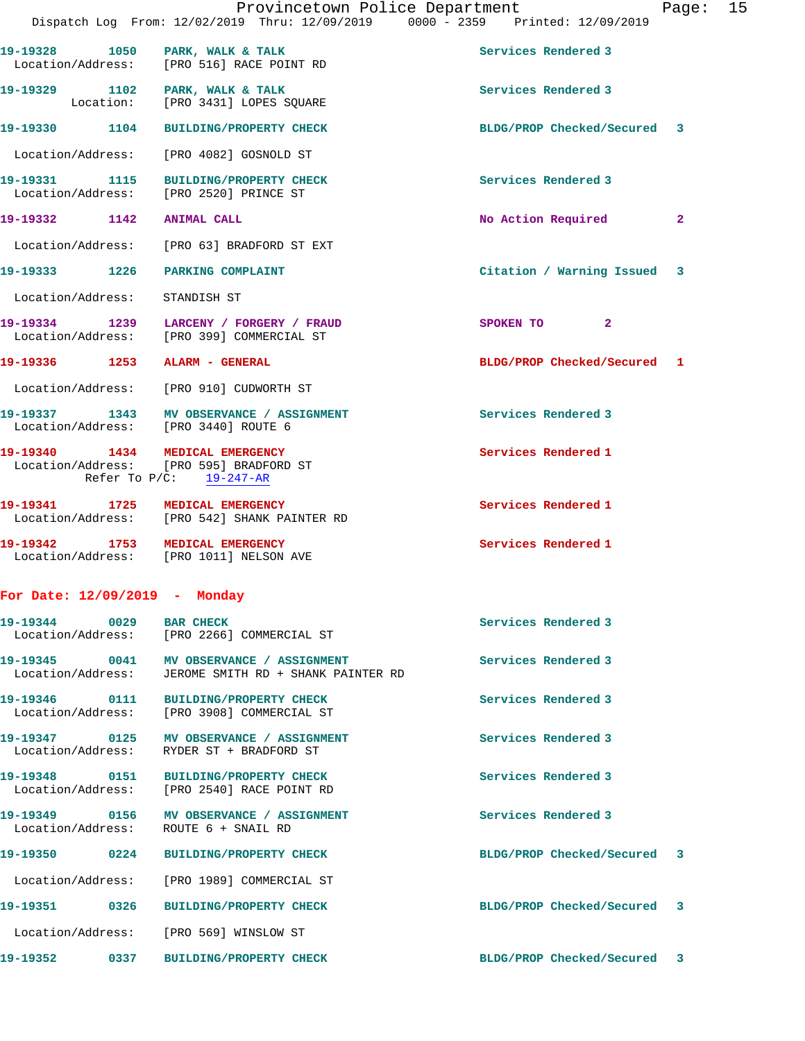|                                      | Provincetown Police Department<br>Dispatch Log From: 12/02/2019 Thru: 12/09/2019 0000 - 2359 Printed: 12/09/2019 |                             | Page: $15$   |  |
|--------------------------------------|------------------------------------------------------------------------------------------------------------------|-----------------------------|--------------|--|
|                                      | 19-19328 1050 PARK, WALK & TALK<br>Location/Address: [PRO 516] RACE POINT RD                                     | Services Rendered 3         |              |  |
| 19-19329 1102 PARK, WALK & TALK      | Location: [PRO 3431] LOPES SQUARE                                                                                | Services Rendered 3         |              |  |
|                                      | 19-19330 1104 BUILDING/PROPERTY CHECK                                                                            | BLDG/PROP Checked/Secured 3 |              |  |
|                                      | Location/Address: [PRO 4082] GOSNOLD ST                                                                          |                             |              |  |
|                                      | 19-19331 1115 BUILDING/PROPERTY CHECK<br>Location/Address: [PRO 2520] PRINCE ST                                  | Services Rendered 3         |              |  |
| 19-19332 1142 ANIMAL CALL            |                                                                                                                  | No Action Required          | $\mathbf{2}$ |  |
|                                      | Location/Address: [PRO 63] BRADFORD ST EXT                                                                       |                             |              |  |
| 19-19333 1226 PARKING COMPLAINT      |                                                                                                                  | Citation / Warning Issued 3 |              |  |
| Location/Address: STANDISH ST        |                                                                                                                  |                             |              |  |
|                                      | 19-19334 1239 LARCENY / FORGERY / FRAUD<br>Location/Address: [PRO 399] COMMERCIAL ST                             | SPOKEN TO<br>$\mathbf{2}$   |              |  |
| 19-19336 1253 ALARM - GENERAL        |                                                                                                                  | BLDG/PROP Checked/Secured 1 |              |  |
|                                      | Location/Address: [PRO 910] CUDWORTH ST                                                                          |                             |              |  |
| Location/Address: [PRO 3440] ROUTE 6 | 19-19337 1343 MV OBSERVANCE / ASSIGNMENT                                                                         | Services Rendered 3         |              |  |
| 19-19340 1434 MEDICAL EMERGENCY      | Location/Address: [PRO 595] BRADFORD ST<br>Refer To $P/C$ : 19-247-AR                                            | Services Rendered 1         |              |  |
|                                      | 19-19341 1725 MEDICAL EMERGENCY<br>Location/Address: [PRO 542] SHANK PAINTER RD                                  | Services Rendered 1         |              |  |
| 19-19342 1753 MEDICAL EMERGENCY      | Location/Address: [PRO 1011] NELSON AVE                                                                          | Services Rendered 1         |              |  |
| For Date: $12/09/2019$ - Monday      |                                                                                                                  |                             |              |  |
| 19-19344 0029 BAR CHECK              | Location/Address: [PRO 2266] COMMERCIAL ST                                                                       | Services Rendered 3         |              |  |
|                                      | Location/Address: JEROME SMITH RD + SHANK PAINTER RD                                                             | Services Rendered 3         |              |  |
|                                      | 19-19346 0111 BUILDING/PROPERTY CHECK<br>Location/Address: [PRO 3908] COMMERCIAL ST                              | Services Rendered 3         |              |  |
| Location/Address:                    | 19-19347 0125 MV OBSERVANCE / ASSIGNMENT<br>RYDER ST + BRADFORD ST                                               | Services Rendered 3         |              |  |
|                                      | 19-19348 0151 BUILDING/PROPERTY CHECK<br>Location/Address: [PRO 2540] RACE POINT RD                              | Services Rendered 3         |              |  |
| Location/Address: ROUTE 6 + SNAIL RD | 19-19349 0156 MV OBSERVANCE / ASSIGNMENT                                                                         | Services Rendered 3         |              |  |
|                                      | 19-19350 0224 BUILDING/PROPERTY CHECK                                                                            | BLDG/PROP Checked/Secured 3 |              |  |
|                                      | Location/Address: [PRO 1989] COMMERCIAL ST                                                                       |                             |              |  |
|                                      | 19-19351                 0326        BUILDING/PROPERTY_CHECK_                                                    | BLDG/PROP Checked/Secured 3 |              |  |
|                                      | Location/Address: [PRO 569] WINSLOW ST                                                                           |                             |              |  |

**19-19352 0337 BUILDING/PROPERTY CHECK BLDG/PROP Checked/Secured 3**